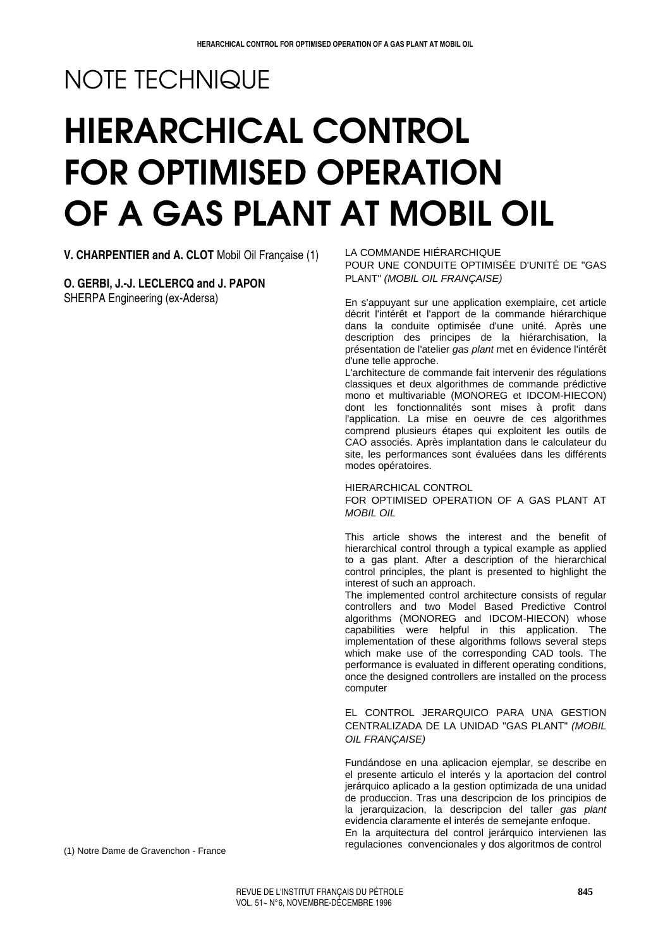# NOTE TECHNIQUE

# HIERARCHICAL CONTROL FOR OPTIMISED OPERATION OF A GAS PLANT AT MOBIL OIL

**V. CHARPENTIER and A. CLOT** Mobil Oil Française (1)

**O. GERBI, J.-J. LECLERCQ and J. PAPON** SHERPA Engineering (ex-Adersa)

LA COMMANDE HIÉRARCHIQUE POUR UNE CONDUITE OPTIMISÉE D'UNITÉ DE "GAS PLANT" (MOBIL OIL FRANÇAISE)

En s'appuyant sur une application exemplaire, cet article décrit l'intérêt et l'apport de la commande hiérarchique dans la conduite optimisée d'une unité. Après une description des principes de la hiérarchisation, la présentation de l'atelier gas plant met en évidence l'intérêt d'une telle approche.

L'architecture de commande fait intervenir des régulations classiques et deux algorithmes de commande prédictive mono et multivariable (MONOREG et IDCOM-HIECON) dont les fonctionnalités sont mises à profit dans l'application. La mise en oeuvre de ces algorithmes comprend plusieurs étapes qui exploitent les outils de CAO associés. Après implantation dans le calculateur du site, les performances sont évaluées dans les différents modes opératoires.

HIERARCHICAL CONTROL

FOR OPTIMISED OPERATION OF A GAS PLANT AT MOBIL OIL

This article shows the interest and the benefit of hierarchical control through a typical example as applied to a gas plant. After a description of the hierarchical control principles, the plant is presented to highlight the interest of such an approach.

The implemented control architecture consists of regular controllers and two Model Based Predictive Control algorithms (MONOREG and IDCOM-HIECON) whose capabilities were helpful in this application. The implementation of these algorithms follows several steps which make use of the corresponding CAD tools. The performance is evaluated in different operating conditions, once the designed controllers are installed on the process computer

EL CONTROL JERARQUICO PARA UNA GESTION CENTRALIZADA DE LA UNIDAD "GAS PLANT" (MOBIL OIL FRANÇAISE)

Fundándose en una aplicacion ejemplar, se describe en el presente articulo el interés y la aportacion del control jerárquico aplicado a la gestion optimizada de una unidad de produccion. Tras una descripcion de los principios de la jerarquizacion, la descripcion del taller gas plant evidencia claramente el interés de semejante enfoque. En la arquitectura del control jerárquico intervienen las regulaciones convencionales y dos algoritmos de control

(1) Notre Dame de Gravenchon - France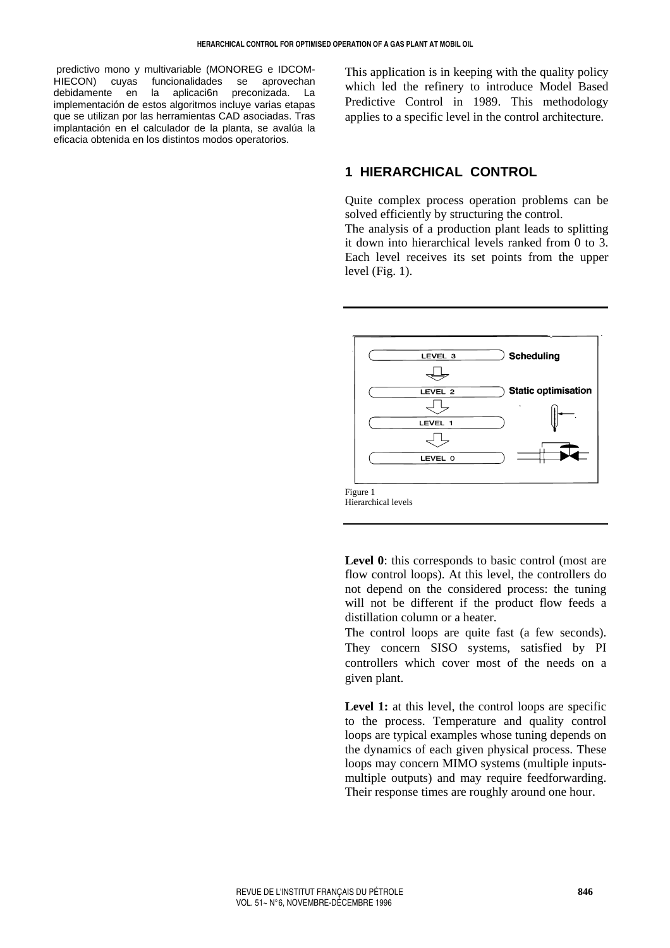predictivo mono y multivariable (MONOREG e IDCOM-HIECON) cuyas funcionalidades se aprovechan debidamente en la aplicaci6n preconizada. La implementación de estos algoritmos incluye varias etapas que se utilizan por las herramientas CAD asociadas. Tras implantación en el calculador de la planta, se avalúa la eficacia obtenida en los distintos modos operatorios.

This application is in keeping with the quality policy which led the refinery to introduce Model Based Predictive Control in 1989. This methodology applies to a specific level in the control architecture.

# **1 HIERARCHICAL CONTROL**

Quite complex process operation problems can be solved efficiently by structuring the control.

The analysis of a production plant leads to splitting it down into hierarchical levels ranked from 0 to 3. Each level receives its set points from the upper level (Fig. 1).



Level 0: this corresponds to basic control (most are flow control loops). At this level, the controllers do not depend on the considered process: the tuning will not be different if the product flow feeds a distillation column or a heater.

The control loops are quite fast (a few seconds). They concern SISO systems, satisfied by PI controllers which cover most of the needs on a given plant.

Level 1: at this level, the control loops are specific to the process. Temperature and quality control loops are typical examples whose tuning depends on the dynamics of each given physical process. These loops may concern MIMO systems (multiple inputsmultiple outputs) and may require feedforwarding. Their response times are roughly around one hour.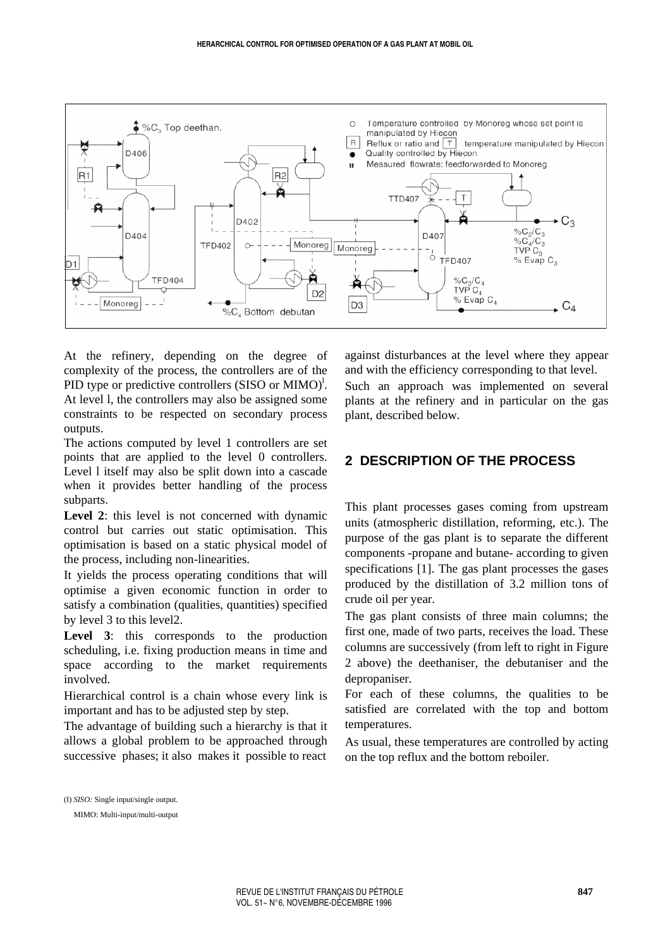

At the refinery, depending on the degree of complexity of the process, the controllers are of the PID type or predictive controllers  $(SISO \ or \ MIMO)^l$ . At level l, the controllers may also be assigned some constraints to be respected on secondary process outputs.

The actions computed by level 1 controllers are set points that are applied to the level 0 controllers. Level l itself may also be split down into a cascade when it provides better handling of the process subparts.

Level 2: this level is not concerned with dynamic control but carries out static optimisation. This optimisation is based on a static physical model of the process, including non-linearities.

It yields the process operating conditions that will optimise a given economic function in order to satisfy a combination (qualities, quantities) specified by level 3 to this level2.

Level 3: this corresponds to the production scheduling, i.e. fixing production means in time and space according to the market requirements involved.

Hierarchical control is a chain whose every link is important and has to be adjusted step by step.

The advantage of building such a hierarchy is that it allows a global problem to be approached through successive phases; it also makes it possible to react

against disturbances at the level where they appear and with the efficiency corresponding to that level.

Such an approach was implemented on several plants at the refinery and in particular on the gas plant, described below.

# **2 DESCRIPTION OF THE PROCESS**

This plant processes gases coming from upstream units (atmospheric distillation, reforming, etc.). The purpose of the gas plant is to separate the different components -propane and butane- according to given specifications [1]. The gas plant processes the gases produced by the distillation of 3.2 million tons of crude oil per year.

The gas plant consists of three main columns; the first one, made of two parts, receives the load. These columns are successively (from left to right in Figure 2 above) the deethaniser, the debutaniser and the depropaniser.

For each of these columns, the qualities to be satisfied are correlated with the top and bottom temperatures.

As usual, these temperatures are controlled by acting on the top reflux and the bottom reboiler.

(I) *SISO:* Single input/single output.

MIMO: Multi-input/multi-output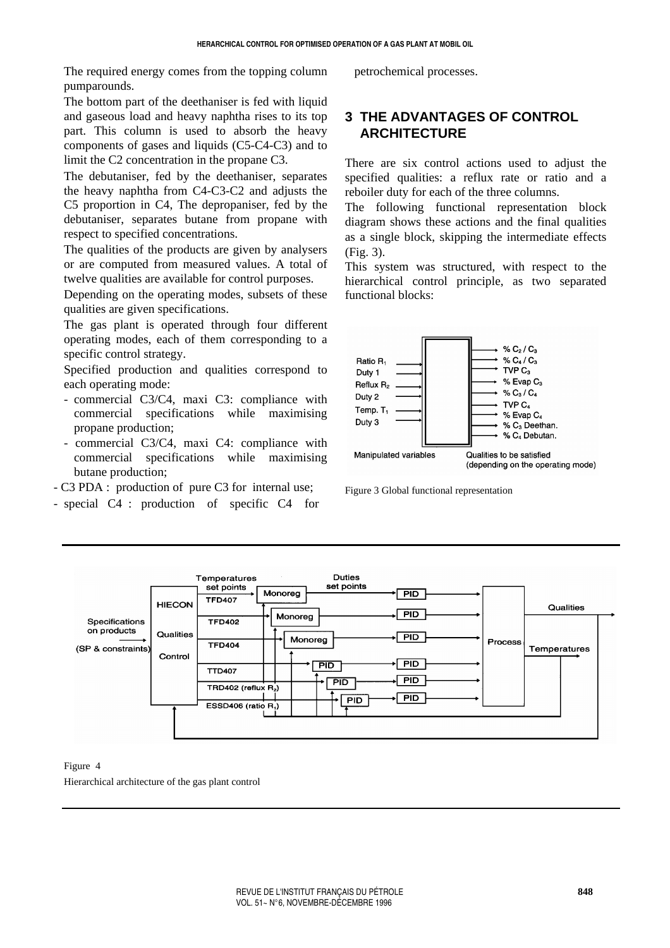The required energy comes from the topping column pumparounds.

The bottom part of the deethaniser is fed with liquid and gaseous load and heavy naphtha rises to its top part. This column is used to absorb the heavy components of gases and liquids (C5-C4-C3) and to limit the C2 concentration in the propane C3.

The debutaniser, fed by the deethaniser, separates the heavy naphtha from C4-C3-C2 and adjusts the C5 proportion in C4, The depropaniser, fed by the debutaniser, separates butane from propane with respect to specified concentrations.

The qualities of the products are given by analysers or are computed from measured values. A total of twelve qualities are available for control purposes.

Depending on the operating modes, subsets of these qualities are given specifications.

The gas plant is operated through four different operating modes, each of them corresponding to a specific control strategy.

Specified production and qualities correspond to each operating mode:

- commercial C3/C4, maxi C3: compliance with commercial specifications while maximising propane production;
- commercial C3/C4, maxi C4: compliance with commercial specifications while maximising butane production;
- C3 PDA : production of pure C3 for internal use;
- special C4 : production of specific C4 for

petrochemical processes.

# **3 THE ADVANTAGES OF CONTROL ARCHITECTURE**

There are six control actions used to adjust the specified qualities: a reflux rate or ratio and a reboiler duty for each of the three columns.

The following functional representation block diagram shows these actions and the final qualities as a single block, skipping the intermediate effects (Fig. 3).

This system was structured, with respect to the hierarchical control principle, as two separated functional blocks:



Figure 3 Global functional representation



Figure 4

Hierarchical architecture of the gas plant control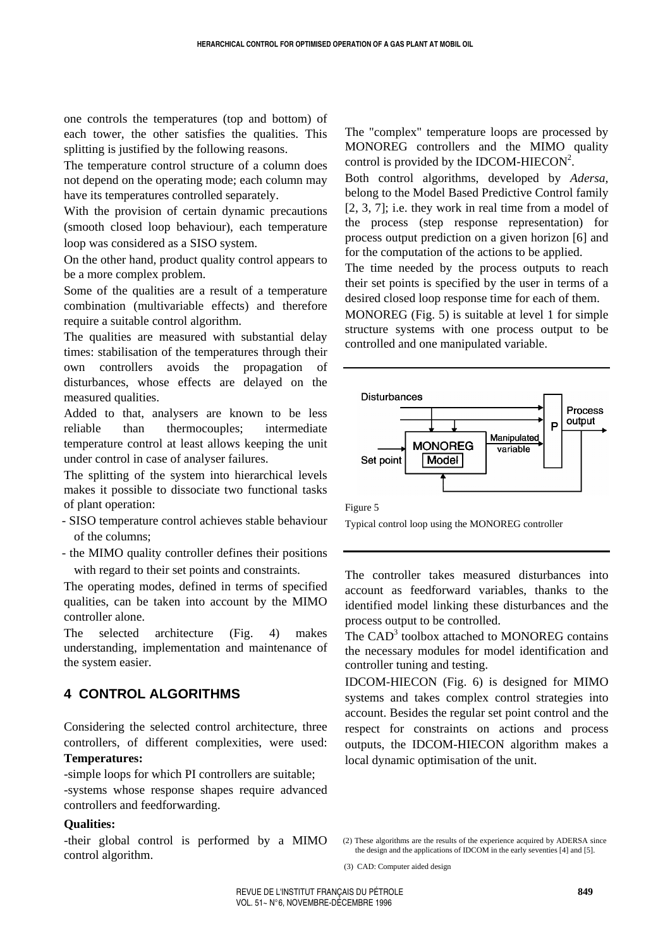one controls the temperatures (top and bottom) of each tower, the other satisfies the qualities. This splitting is justified by the following reasons.

The temperature control structure of a column does not depend on the operating mode; each column may have its temperatures controlled separately.

With the provision of certain dynamic precautions (smooth closed loop behaviour), each temperature loop was considered as a SISO system.

On the other hand, product quality control appears to be a more complex problem.

Some of the qualities are a result of a temperature combination (multivariable effects) and therefore require a suitable control algorithm.

The qualities are measured with substantial delay times: stabilisation of the temperatures through their own controllers avoids the propagation of disturbances, whose effects are delayed on the measured qualities.

Added to that, analysers are known to be less reliable than thermocouples; intermediate temperature control at least allows keeping the unit under control in case of analyser failures.

The splitting of the system into hierarchical levels makes it possible to dissociate two functional tasks of plant operation:

- SISO temperature control achieves stable behaviour of the columns;
- the MIMO quality controller defines their positions with regard to their set points and constraints.

The operating modes, defined in terms of specified qualities, can be taken into account by the MIMO controller alone.

The selected architecture (Fig. 4) makes understanding, implementation and maintenance of the system easier.

## **4 CONTROL ALGORITHMS**

Considering the selected control architecture, three controllers, of different complexities, were used:

# **Temperatures:**

-simple loops for which PI controllers are suitable; -systems whose response shapes require advanced controllers and feedforwarding.

#### **Qualities:**

-their global control is performed by a MIMO control algorithm.

The "complex" temperature loops are processed by MONOREG controllers and the MIMO quality control is provided by the IDCOM-HIECON<sup>2</sup>.

Both control algorithms, developed by *Adersa,*  belong to the Model Based Predictive Control family [2, 3, 7]; i.e. they work in real time from a model of the process (step response representation) for process output prediction on a given horizon [6] and for the computation of the actions to be applied.

The time needed by the process outputs to reach their set points is specified by the user in terms of a desired closed loop response time for each of them.

MONOREG (Fig. 5) is suitable at level 1 for simple structure systems with one process output to be controlled and one manipulated variable.



Figure 5

Typical control loop using the MONOREG controller

The controller takes measured disturbances into account as feedforward variables, thanks to the identified model linking these disturbances and the process output to be controlled.

The CAD<sup>3</sup> toolbox attached to MONOREG contains the necessary modules for model identification and controller tuning and testing.

IDCOM-HIECON (Fig. 6) is designed for MIMO systems and takes complex control strategies into account. Besides the regular set point control and the respect for constraints on actions and process outputs, the IDCOM-HIECON algorithm makes a local dynamic optimisation of the unit.

<sup>(2)</sup> These algorithms are the results of the experience acquired by ADERSA since the design and the applications of IDCOM in the early seventies [4] and [5].

<sup>(3)</sup> CAD: Computer aided design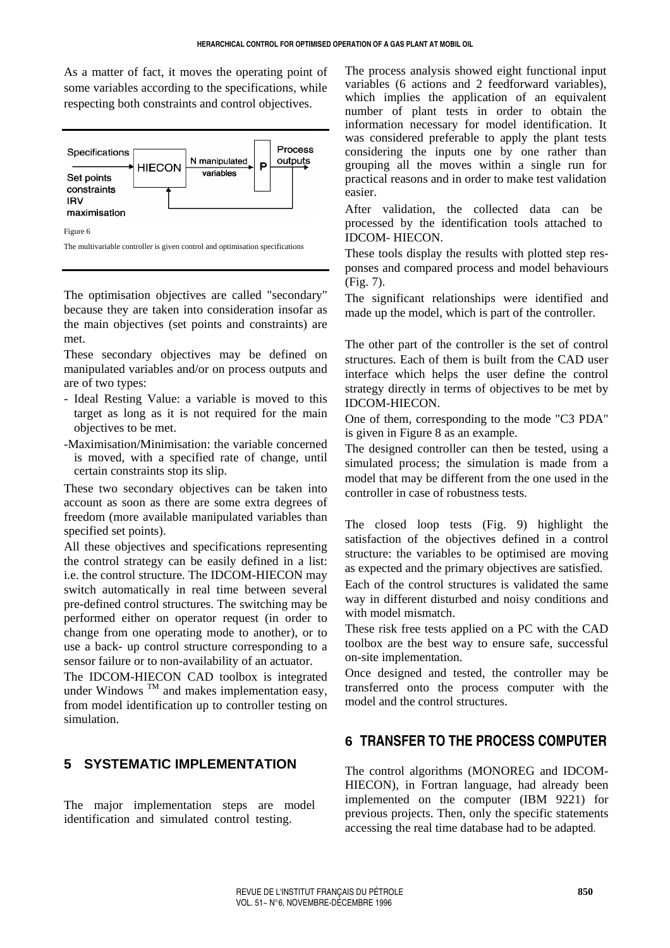As a matter of fact, it moves the operating point of some variables according to the specifications, while respecting both constraints and control objectives.



The optimisation objectives are called "secondary" because they are taken into consideration insofar as the main objectives (set points and constraints) are met.

These secondary objectives may be defined on manipulated variables and/or on process outputs and are of two types:

- Ideal Resting Value: a variable is moved to this target as long as it is not required for the main objectives to be met.
- -Maximisation/Minimisation: the variable concerned is moved, with a specified rate of change, until certain constraints stop its slip.

These two secondary objectives can be taken into account as soon as there are some extra degrees of freedom (more available manipulated variables than specified set points).

All these objectives and specifications representing the control strategy can be easily defined in a list: i.e. the control structure. The IDCOM-HIECON may switch automatically in real time between several pre-defined control structures. The switching may be performed either on operator request (in order to change from one operating mode to another), or to use a back- up control structure corresponding to a sensor failure or to non-availability of an actuator.

The IDCOM-HIECON CAD toolbox is integrated under Windows  $^{TM}$  and makes implementation easy, from model identification up to controller testing on simulation.

# **5 SYSTEMATIC IMPLEMENTATION**

The major implementation steps are model identification and simulated control testing.

The process analysis showed eight functional input variables (6 actions and 2 feedforward variables), which implies the application of an equivalent number of plant tests in order to obtain the information necessary for model identification. It was considered preferable to apply the plant tests considering the inputs one by one rather than grouping all the moves within a single run for practical reasons and in order to make test validation easier.

After validation, the collected data can be processed by the identification tools attached to IDCOM- HIECON.

These tools display the results with plotted step responses and compared process and model behaviours (Fig. 7).

The significant relationships were identified and made up the model, which is part of the controller.

The other part of the controller is the set of control structures. Each of them is built from the CAD user interface which helps the user define the control strategy directly in terms of objectives to be met by IDCOM-HIECON.

One of them, corresponding to the mode "C3 PDA" is given in Figure 8 as an example.

The designed controller can then be tested, using a simulated process; the simulation is made from a model that may be different from the one used in the controller in case of robustness tests.

The closed loop tests (Fig. 9) highlight the satisfaction of the objectives defined in a control structure: the variables to be optimised are moving as expected and the primary objectives are satisfied.

Each of the control structures is validated the same way in different disturbed and noisy conditions and with model mismatch.

These risk free tests applied on a PC with the CAD toolbox are the best way to ensure safe, successful on-site implementation.

Once designed and tested, the controller may be transferred onto the process computer with the model and the control structures.

# **6 TRANSFER TO THE PROCESS COMPUTER**

The control algorithms (MONOREG and IDCOM-HIECON), in Fortran language, had already been implemented on the computer (IBM 9221) for previous projects. Then, only the specific statements accessing the real time database had to be adapted.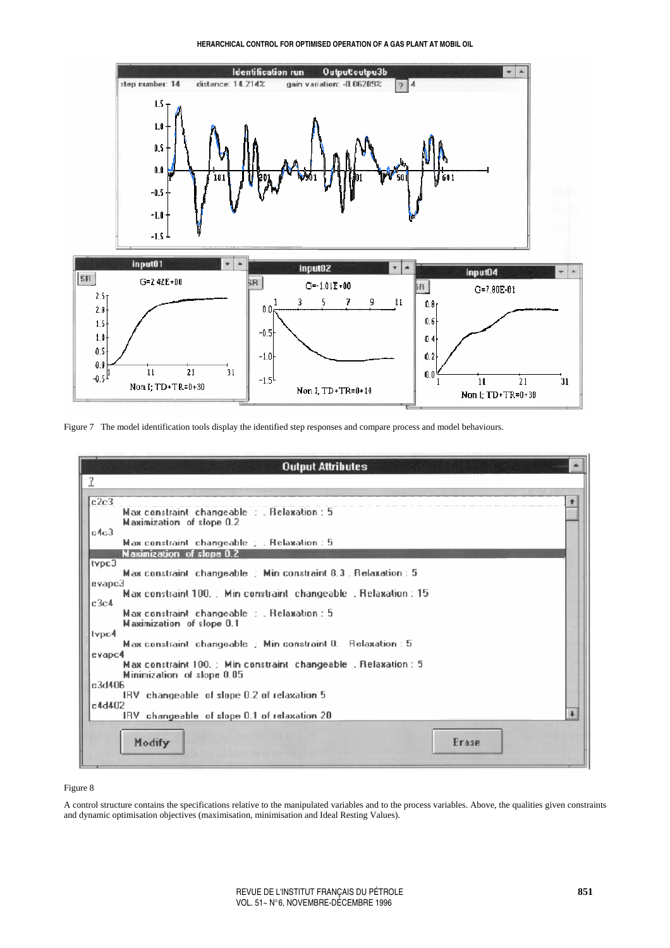**HERARCHICAL CONTROL FOR OPTIMISED OPERATION OF A GAS PLANT AT MOBlL OlL**



Figure 7 The model identification tools display the identified step responses and compare process and model behaviours.

| <b>Output Attributes</b><br>$\overline{1}$                                                              |                      |
|---------------------------------------------------------------------------------------------------------|----------------------|
| c2c3<br>Max constraint changeable : Relaxation : 5                                                      | ٠                    |
| Maximization of slope 0.2<br>c4c3                                                                       |                      |
| Max constraint changeable : Relaxation : 5                                                              |                      |
| Maximization of slope 0.2                                                                               |                      |
| typc3<br>Max constraint changeable $\pm$ Min constraint 8.3 . Relaxation : 5                            |                      |
| evapc3<br>Max constraint 100. Min constraint changeable . Relaxation: 15<br>c3c4                        |                      |
| Max constraint changeable : . Relaxation : 5<br>Maximization of slope 0.1                               |                      |
| typc4<br>Max constraint changeable ; Min constraint 0. Relaxation : 5                                   |                      |
| evapc4<br>Max constraint 100. ; Min constraint changeable, Relaxation : 5<br>Minimization of slope 0.05 |                      |
| c3d406<br>IRV changeable of slope 0.2 of relaxation 5                                                   |                      |
| c4d402<br>IRV changeable of slope 0.1 of relaxation 20                                                  | $\ddot{\phantom{1}}$ |
|                                                                                                         |                      |
| Erase<br>Modify                                                                                         |                      |
|                                                                                                         |                      |

#### Figure 8

A control structure contains the specifications relative to the manipulated variables and to the process variables. Above, the qualities given constraints and dynamic optimisation objectives (maximisation, minimisation and Ideal Resting Values).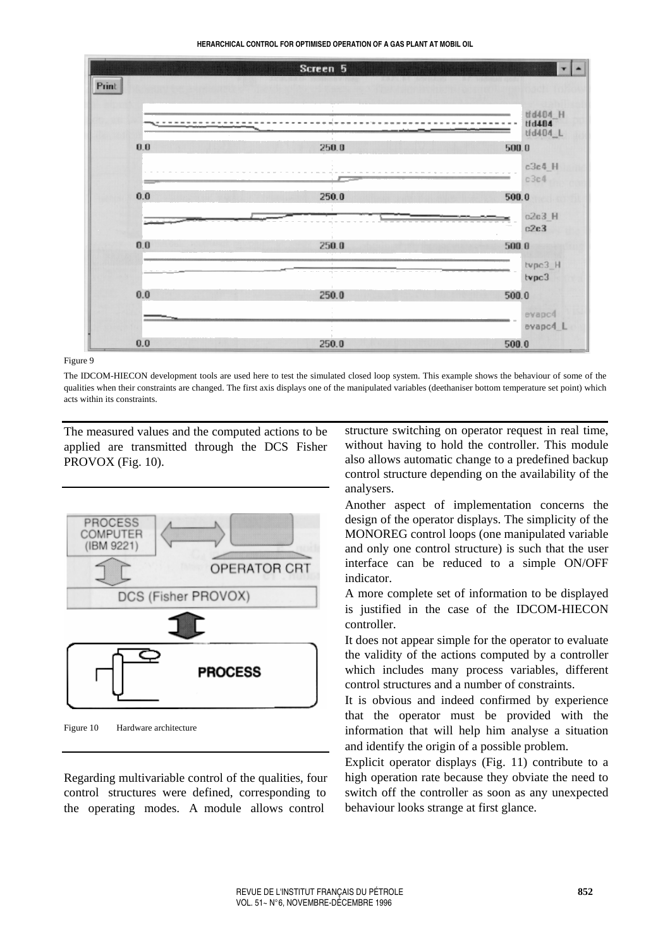**HERARCHICAL CONTROL FOR OPTIMISED OPERATION OF A GAS PLANT AT MOBlL OlL**



#### Figure 9

The IDCOM-HIECON development tools are used here to test the simulated closed loop system. This example shows the behaviour of some of the qualities when their constraints are changed. The first axis displays one of the manipulated variables (deethaniser bottom temperature set point) which acts within its constraints.

The measured values and the computed actions to be applied are transmitted through the DCS Fisher PROVOX (Fig. 10).



Figure 10 Hardware architecture

Regarding multivariable control of the qualities, four control structures were defined, corresponding to the operating modes. A module allows control

structure switching on operator request in real time, without having to hold the controller. This module also allows automatic change to a predefined backup control structure depending on the availability of the analysers.

Another aspect of implementation concerns the design of the operator displays. The simplicity of the MONOREG control loops (one manipulated variable and only one control structure) is such that the user interface can be reduced to a simple ON/OFF indicator.

A more complete set of information to be displayed is justified in the case of the IDCOM-HIECON controller.

It does not appear simple for the operator to evaluate the validity of the actions computed by a controller which includes many process variables, different control structures and a number of constraints.

It is obvious and indeed confirmed by experience that the operator must be provided with the information that will help him analyse a situation and identify the origin of a possible problem.

Explicit operator displays (Fig. 11) contribute to a high operation rate because they obviate the need to switch off the controller as soon as any unexpected behaviour looks strange at first glance.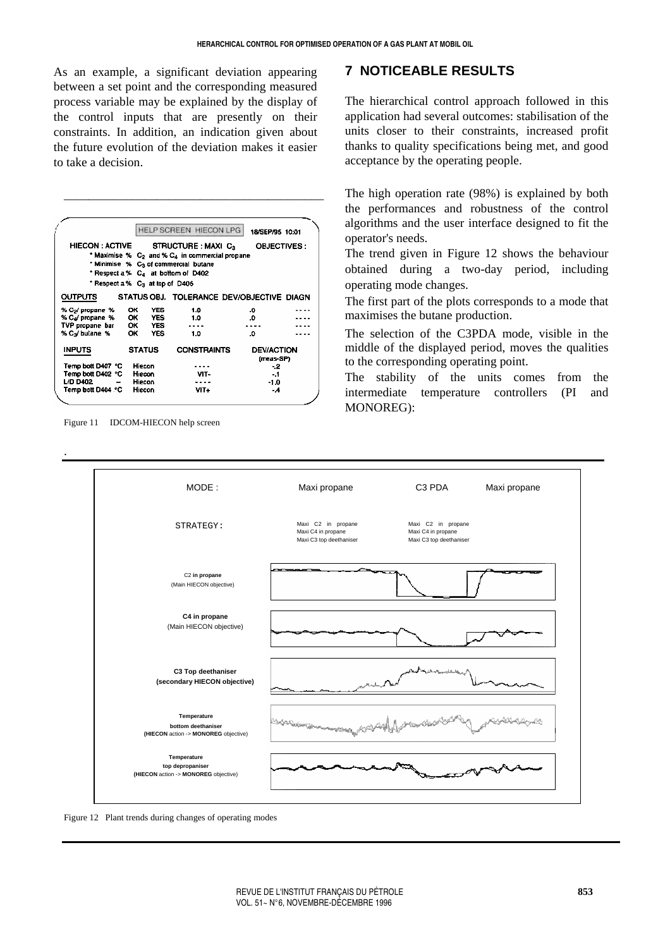As an example, a significant deviation appearing between a set point and the corresponding measured process variable may be explained by the display of the control inputs that are presently on their constraints. In addition, an indication given about the future evolution of the deviation makes it easier to take a decision.

\_\_\_\_\_\_\_\_\_\_\_\_\_\_\_\_\_\_\_\_\_\_\_\_\_\_\_\_\_\_\_\_\_\_\_\_\_\_\_\_\_\_

|                                                                       |               |            | <b>HELP SCREEN HIECON LPG</b>                                                                                                                                                                                  | 18/SEP/95 10:01                |                    |
|-----------------------------------------------------------------------|---------------|------------|----------------------------------------------------------------------------------------------------------------------------------------------------------------------------------------------------------------|--------------------------------|--------------------|
| <b>HIECON : ACTIVE</b><br>* Respect a % C <sub>3</sub> at top of D406 |               |            | STRUCTURE: MAXI C <sub>3</sub><br>* Maximise % C <sub>2</sub> and % C <sub>4</sub> in commercial propane<br>* Minimise % C <sub>3</sub> of commercial butane<br>* Respect a % C <sub>4</sub> at bottom of D402 |                                | <b>OBJECTIVES:</b> |
| <b>OUTPUTS</b>                                                        |               |            | STATUS OBJ. TOLERANCE DEV/OBJECTIVE DIAGN                                                                                                                                                                      |                                |                    |
| % C <sub>2</sub> / propane %                                          | ОК            | YES        | 1.0                                                                                                                                                                                                            | ٥.                             |                    |
| % Cal propane %                                                       | ок            | <b>YES</b> | 1.0                                                                                                                                                                                                            | .0                             |                    |
| TVP propane bar                                                       |               | OK YES     |                                                                                                                                                                                                                |                                |                    |
| % Ca/ bulane %                                                        | ОΚ            | <b>YES</b> | 1.0                                                                                                                                                                                                            | ٥.                             |                    |
| <b>INPUTS</b>                                                         | <b>STATUS</b> |            | <b>CONSTRAINTS</b>                                                                                                                                                                                             | <b>DEV/ACTION</b><br>(meas-SP) |                    |
| Temp bott D407 °C                                                     | Hiecon        |            |                                                                                                                                                                                                                | - 2                            |                    |
| Temp bott D402 °C                                                     | Hiecon        |            | VIT-                                                                                                                                                                                                           | -. 1                           |                    |
| <b>L/D D402</b>                                                       | Hiecon        |            |                                                                                                                                                                                                                | -1.0                           |                    |
| Temp bott D404 °C                                                     | Hiecon        |            | VIT+                                                                                                                                                                                                           | - 4                            |                    |

Figure 11 IDCOM-HIECON help screen

### **7 NOTICEABLE RESULTS**

The hierarchical control approach followed in this application had several outcomes: stabilisation of the units closer to their constraints, increased profit thanks to quality specifications being met, and good acceptance by the operating people.

The high operation rate (98%) is explained by both the performances and robustness of the control algorithms and the user interface designed to fit the operator's needs.

The trend given in Figure 12 shows the behaviour obtained during a two-day period, including operating mode changes.

The first part of the plots corresponds to a mode that maximises the butane production.

The selection of the C3PDA mode, visible in the middle of the displayed period, moves the qualities to the corresponding operating point.

The stability of the units comes from the intermediate temperature controllers (PI and MONOREG):



Figure 12 Plant trends during changes of operating modes